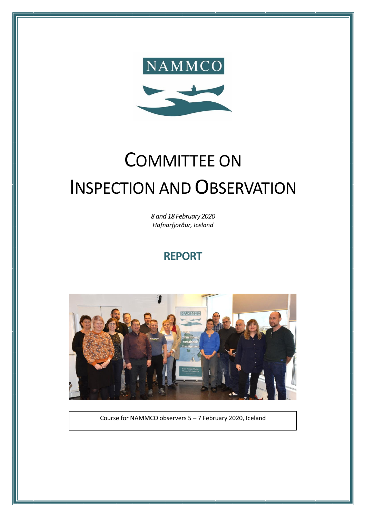

# COMMITTEE ON INSPECTION AND OBSERVATION

*8 and 18 February 2020 Hafnarfjörður, Iceland*

## **REPORT**



Course for NAMMCO observers 5 – 7 February 2020, Iceland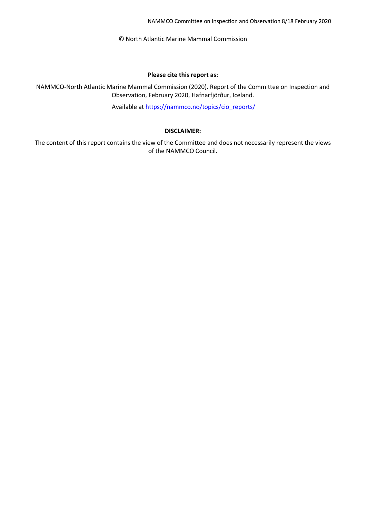NAMMCO Committee on Inspection and Observation 8/18 February 2020

© North Atlantic Marine Mammal Commission

#### **Please cite this report as:**

NAMMCO-North Atlantic Marine Mammal Commission (2020). Report of the Committee on Inspection and Observation, February 2020, Hafnarfjörður, Iceland.

Available at [https://nammco.no/topics/cio\\_reports/](https://nammco.no/topics/cio_reports/)

#### **DISCLAIMER:**

The content of this report contains the view of the Committee and does not necessarily represent the views of the NAMMCO Council.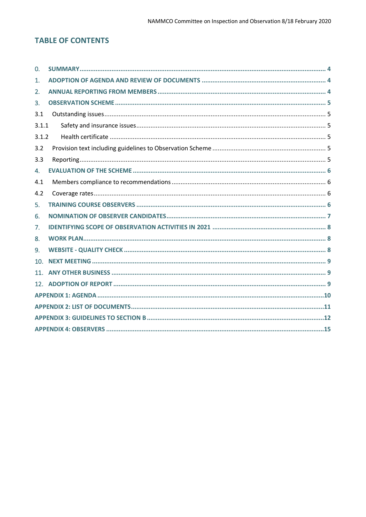## **TABLE OF CONTENTS**

| $\mathbf{0}$    |  |  |  |  |  |
|-----------------|--|--|--|--|--|
| 1.              |  |  |  |  |  |
| 2.              |  |  |  |  |  |
| 3.              |  |  |  |  |  |
| 3.1             |  |  |  |  |  |
| 3.1.1           |  |  |  |  |  |
| 3.1.2           |  |  |  |  |  |
| 3.2             |  |  |  |  |  |
| 3.3             |  |  |  |  |  |
| 4.              |  |  |  |  |  |
| 4.1             |  |  |  |  |  |
| 4.2             |  |  |  |  |  |
| 5.              |  |  |  |  |  |
| 6.              |  |  |  |  |  |
| 7.              |  |  |  |  |  |
| 8.              |  |  |  |  |  |
| 9.              |  |  |  |  |  |
| 10 <sub>1</sub> |  |  |  |  |  |
| 11 <sub>1</sub> |  |  |  |  |  |
|                 |  |  |  |  |  |
|                 |  |  |  |  |  |
|                 |  |  |  |  |  |
|                 |  |  |  |  |  |
|                 |  |  |  |  |  |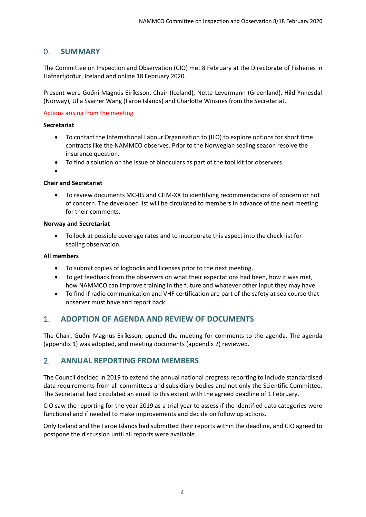## <span id="page-3-0"></span>0. **SUMMARY**

The Committee on Inspection and Observation (CIO) met 8 February at the Directorate of Fisheries in Hafnarfjörður, Iceland and online 18 February 2020.

Present were Guðni Magnús Eiríksson, Chair (Iceland), Nette Levermann (Greenland), Hild Ynnesdal (Norway), Ulla Svarrer Wang (Faroe Islands) and Charlotte Winsnes from the Secretariat.

#### Actions arising from the meeting

#### **Secretariat**

- To contact the International Labour Organisation to (ILO) to explore options for short time contracts like the NAMMCO observes. Prior to the Norwegian sealing season resolve the insurance question.
- To find a solution on the issue of binoculars as part of the tool kit for observers
- •

#### **Chair and Secretariat**

• To review documents MC-05 and CHM-XX to identifying recommendations of concern or not of concern. The developed list will be circulated to members in advance of the next meeting for their comments.

#### **Norway and Secretariat**

• To look at possible coverage rates and to incorporate this aspect into the check list for sealing observation.

#### **All members**

- To submit copies of logbooks and licenses prior to the next meeting.
- To get feedback from the observers on what their expectations had been, how it was met, how NAMMCO can improve training in the future and whatever other input they may have.
- To find if radio communication and VHF certification are part of the safety at sea course that observer must have and report back.

## <span id="page-3-1"></span>1. **ADOPTION OF AGENDA AND REVIEW OF DOCUMENTS**

The Chair, Guðni Magnús Eiríksson, opened the meeting for comments to the agenda. The agenda (appendix 1) was adopted, and meeting documents (appendix 2) reviewed.

## <span id="page-3-2"></span>2. **ANNUAL REPORTING FROM MEMBERS**

The Council decided in 2019 to extend the annual national progress reporting to include standardised data requirements from all committees and subsidiary bodies and not only the Scientific Committee. The Secretariat had circulated an email to this extent with the agreed deadline of 1 February.

CIO saw the reporting for the year 2019 as a trial year to assess if the identified data categories were functional and if needed to make improvements and decide on follow up actions.

Only Iceland and the Faroe Islands had submitted their reports within the deadline, and CIO agreed to postpone the discussion until all reports were available.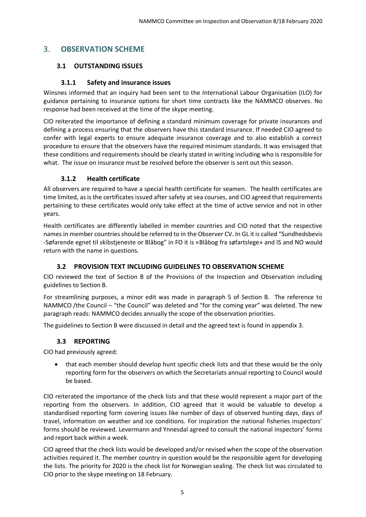## <span id="page-4-0"></span>3. **OBSERVATION SCHEME**

## <span id="page-4-1"></span>**3.1 OUTSTANDING ISSUES**

## **3.1.1 Safety and insurance issues**

<span id="page-4-2"></span>Winsnes informed that an inquiry had been sent to the International Labour Organisation (ILO) for guidance pertaining to insurance options for short time contracts like the NAMMCO observes. No response had been received at the time of the skype meeting.

CIO reiterated the importance of defining a standard minimum coverage for private insurances and defining a process ensuring that the observers have this standard insurance. If needed CIO agreed to confer with legal experts to ensure adequate insurance coverage and to also establish a correct procedure to ensure that the observers have the required minimum standards. It was envisaged that these conditions and requirements should be clearly stated in writing including who is responsible for what. The issue on insurance must be resolved before the observer is sent out this season.

## **3.1.2 Health certificate**

<span id="page-4-3"></span>All observers are required to have a special health certificate for seamen. The health certificates are time limited, as is the certificates issued after safety at sea courses, and CIO agreed that requirements pertaining to these certificates would only take effect at the time of active service and not in other years.

Health certificates are differently labelled in member countries and CIO noted that the respective names in member countries should be referred to in the Observer CV. In GL it is called "Sundhedsbevis -Søfarende egnet til skibstjeneste or Blåbog" in FO it is «Blåbog fra søfartslege» and IS and NO would return with the name in questions.

## **3.2 PROVISION TEXT INCLUDING GUIDELINES TO OBSERVATION SCHEME**

<span id="page-4-4"></span>CIO reviewed the text of Section B of the Provisions of the Inspection and Observation including guidelines to Section B.

For streamlining purposes, a minor edit was made in paragraph 5 of Section B. The reference to NAMMCO /the Council – "the Council" was deleted and "for the coming year" was deleted. The new paragraph reads: NAMMCO decides annually the scope of the observation priorities.

<span id="page-4-5"></span>The guidelines to Section B were discussed in detail and the agreed text is found in appendix 3.

## **3.3 REPORTING**

CIO had previously agreed:

• that each member should develop hunt specific check lists and that these would be the only reporting form for the observers on which the Secretariats annual reporting to Council would be based.

CIO reiterated the importance of the check lists and that these would represent a major part of the reporting from the observers. In addition, CIO agreed that it would be valuable to develop a standardised reporting form covering issues like number of days of observed hunting days, days of travel, information on weather and ice conditions. For inspiration the national fisheries inspectors' forms should be reviewed. Levermann and Ynnesdal agreed to consult the national inspectors' forms and report back within a week.

CIO agreed that the check lists would be developed and/or revised when the scope of the observation activities required it. The member country in question would be the responsible agent for developing the lists. The priority for 2020 is the check list for Norwegian sealing. The check list was circulated to CIO prior to the skype meeting on 18 February.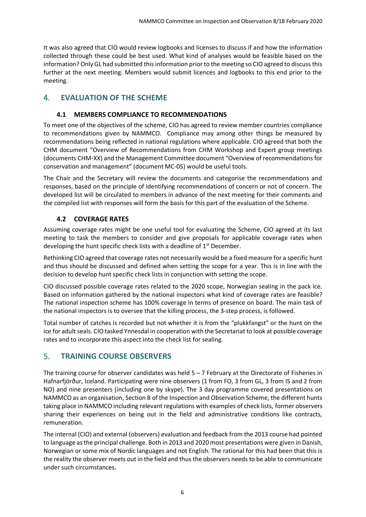It was also agreed that CIO would review logbooks and licenses to discuss if and how the information collected through these could be best used. What kind of analyses would be feasible based on the information? Only GL had submitted this information prior to the meeting so CIO agreed to discuss this further at the next meeting. Members would submit licences and logbooks to this end prior to the meeting.

## <span id="page-5-0"></span>4. **EVALUATION OF THE SCHEME**

## **4.1 MEMBERS COMPLIANCE TO RECOMMENDATIONS**

<span id="page-5-1"></span>To meet one of the objectives of the scheme, CIO has agreed to review member countries compliance to recommendations given by NAMMCO. Compliance may among other things be measured by recommendations being reflected in national regulations where applicable. CIO agreed that both the CHM document "Overview of Recommendations from CHM Workshop and Expert group meetings (documents CHM-XX) and the Management Committee document "Overview of recommendations for conservation and management" (document MC-05) would be useful tools.

The Chair and the Secretary will review the documents and categorise the recommendations and responses, based on the principle of identifying recommendations of concern or not of concern. The developed list will be circulated to members in advance of the next meeting for their comments and the compiled list with responses will form the basis for this part of the evaluation of the Scheme.

## **4.2 COVERAGE RATES**

<span id="page-5-2"></span>Assuming coverage rates might be one useful tool for evaluating the Scheme, CIO agreed at its last meeting to task the members to consider and give proposals for applicable coverage rates when developing the hunt specific check lists with a deadline of  $1<sup>st</sup>$  December.

Rethinking CIO agreed that coverage rates not necessarily would be a fixed measure for a specific hunt and thus should be discussed and defined when setting the scope for a year. This is in line with the decision to develop hunt specific check lists in conjunction with setting the scope.

CIO discussed possible coverage rates related to the 2020 scope, Norwegian sealing in the pack ice. Based on information gathered by the national inspectors what kind of coverage rates are feasible? The national inspection scheme has 100% coverage in terms of presence on board. The main task of the national inspectors is to oversee that the killing process, the 3-step process, is followed.

Total number of catches is recorded but not whether it is from the "plukkfangst" or the hunt on the ice for adult seals. CIO tasked Ynnesdal in cooperation with the Secretariat to look at possible coverage rates and to incorporate this aspect into the check list for sealing.

## <span id="page-5-3"></span>5. **TRAINING COURSE OBSERVERS**

The training course for observer candidates was held  $5 - 7$  February at the Directorate of Fisheries in Hafnarfjörður, Iceland. Participating were nine observers (1 from FO, 3 from GL, 3 from IS and 2 from NO) and nine presenters (including one by skype). The 3 day programme covered presentations on NAMMCO as an organisation, Section B of the Inspection and Observation Scheme, the different hunts taking place in NAMMCO including relevant regulations with examples of check lists, former observers sharing their experiences on being out in the field and administrative conditions like contracts, remuneration.

The internal (CIO) and external (observers) evaluation and feedback from the 2013 course had pointed to language as the principal challenge. Both in 2013 and 2020 most presentations were given in Danish, Norwegian or some mix of Nordic languages and not English. The rational for this had been that this is the reality the observer meets out in the field and thus the observers needs to be able to communicate under such circumstances.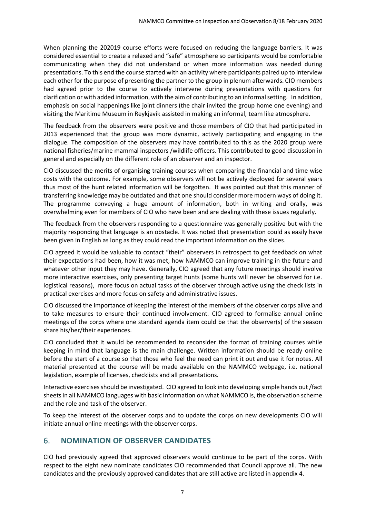When planning the 202019 course efforts were focused on reducing the language barriers. It was considered essential to create a relaxed and "safe" atmosphere so participants would be comfortable communicating when they did not understand or when more information was needed during presentations. To this end the course started with an activity where participants paired up to interview each other for the purpose of presenting the partner to the group in plenum afterwards. CIO members had agreed prior to the course to actively intervene during presentations with questions for clarification or with added information, with the aim of contributing to an informal setting. In addition, emphasis on social happenings like joint dinners (the chair invited the group home one evening) and visiting the Maritime Museum in Reykjavik assisted in making an informal, team like atmosphere.

The feedback from the observers were positive and those members of CIO that had participated in 2013 experienced that the group was more dynamic, actively participating and engaging in the dialogue. The composition of the observers may have contributed to this as the 2020 group were national fisheries/marine mammal inspectors /wildlife officers. This contributed to good discussion in general and especially on the different role of an observer and an inspector.

CIO discussed the merits of organising training courses when comparing the financial and time wise costs with the outcome. For example, some observers will not be actively deployed for several years thus most of the hunt related information will be forgotten. It was pointed out that this manner of transferring knowledge may be outdated and that one should consider more modern ways of doing it. The programme conveying a huge amount of information, both in writing and orally, was overwhelming even for members of CIO who have been and are dealing with these issues regularly.

The feedback from the observers responding to a questionnaire was generally positive but with the majority responding that language is an obstacle. It was noted that presentation could as easily have been given in English as long as they could read the important information on the slides.

CIO agreed it would be valuable to contact "their" observers in retrospect to get feedback on what their expectations had been, how it was met, how NAMMCO can improve training in the future and whatever other input they may have. Generally, CIO agreed that any future meetings should involve more interactive exercises, only presenting target hunts (some hunts will never be observed for i.e. logistical reasons), more focus on actual tasks of the observer through active using the check lists in practical exercises and more focus on safety and administrative issues.

CIO discussed the importance of keeping the interest of the members of the observer corps alive and to take measures to ensure their continued involvement. CIO agreed to formalise annual online meetings of the corps where one standard agenda item could be that the observer(s) of the season share his/her/their experiences.

CIO concluded that it would be recommended to reconsider the format of training courses while keeping in mind that language is the main challenge. Written information should be ready online before the start of a course so that those who feel the need can print it out and use it for notes. All material presented at the course will be made available on the NAMMCO webpage, i.e. national legislation, example of licenses, checklists and all presentations.

Interactive exercises should be investigated. CIO agreed to look into developing simple hands out /fact sheets in all NAMMCO languages with basic information on what NAMMCO is, the observation scheme and the role and task of the observer.

To keep the interest of the observer corps and to update the corps on new developments CIO will initiate annual online meetings with the observer corps.

## <span id="page-6-0"></span>6. **NOMINATION OF OBSERVER CANDIDATES**

CIO had previously agreed that approved observers would continue to be part of the corps. With respect to the eight new nominate candidates CIO recommended that Council approve all. The new candidates and the previously approved candidates that are still active are listed in appendix 4.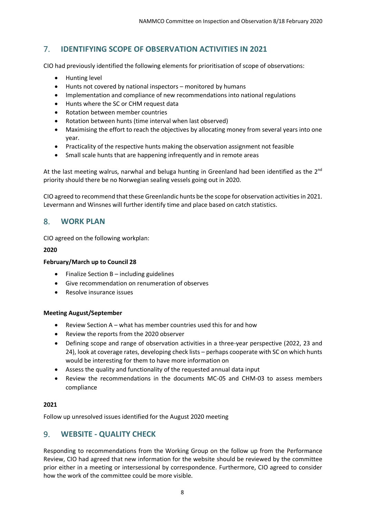## <span id="page-7-0"></span>7. **IDENTIFYING SCOPE OF OBSERVATION ACTIVITIES IN 2021**

CIO had previously identified the following elements for prioritisation of scope of observations:

- Hunting level
- Hunts not covered by national inspectors monitored by humans
- Implementation and compliance of new recommendations into national regulations
- Hunts where the SC or CHM request data
- Rotation between member countries
- Rotation between hunts (time interval when last observed)
- Maximising the effort to reach the objectives by allocating money from several years into one year.
- Practicality of the respective hunts making the observation assignment not feasible
- Small scale hunts that are happening infrequently and in remote areas

At the last meeting walrus, narwhal and beluga hunting in Greenland had been identified as the  $2^{nd}$ priority should there be no Norwegian sealing vessels going out in 2020.

CIO agreed to recommend that these Greenlandic hunts be the scope for observation activities in 2021. Levermann and Winsnes will further identify time and place based on catch statistics.

## <span id="page-7-1"></span>8. **WORK PLAN**

CIO agreed on the following workplan:

#### **2020**

#### **February/March up to Council 28**

- Finalize Section B including guidelines
- Give recommendation on renumeration of observes
- Resolve insurance issues

#### **Meeting August/September**

- Review Section A what has member countries used this for and how
- Review the reports from the 2020 observer
- Defining scope and range of observation activities in a three-year perspective (2022, 23 and 24), look at coverage rates, developing check lists – perhaps cooperate with SC on which hunts would be interesting for them to have more information on
- Assess the quality and functionality of the requested annual data input
- Review the recommendations in the documents MC-05 and CHM-03 to assess members compliance

#### **2021**

Follow up unresolved issues identified for the August 2020 meeting

## <span id="page-7-2"></span>9. **WEBSITE - QUALITY CHECK**

Responding to recommendations from the Working Group on the follow up from the Performance Review, CIO had agreed that new information for the website should be reviewed by the committee prior either in a meeting or intersessional by correspondence. Furthermore, CIO agreed to consider how the work of the committee could be more visible.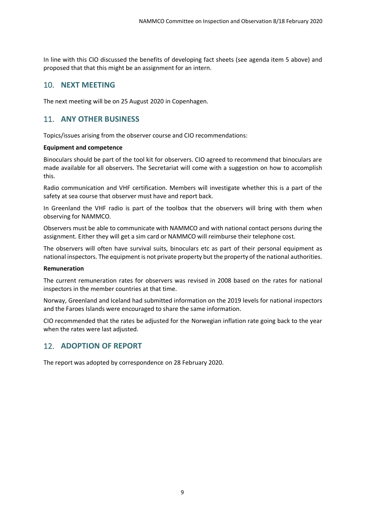In line with this CIO discussed the benefits of developing fact sheets (see agenda item 5 above) and proposed that that this might be an assignment for an intern.

## <span id="page-8-0"></span>10. **NEXT MEETING**

<span id="page-8-1"></span>The next meeting will be on 25 August 2020 in Copenhagen.

## 11. **ANY OTHER BUSINESS**

Topics/issues arising from the observer course and CIO recommendations:

#### **Equipment and competence**

Binoculars should be part of the tool kit for observers. CIO agreed to recommend that binoculars are made available for all observers. The Secretariat will come with a suggestion on how to accomplish this.

Radio communication and VHF certification. Members will investigate whether this is a part of the safety at sea course that observer must have and report back.

In Greenland the VHF radio is part of the toolbox that the observers will bring with them when observing for NAMMCO.

Observers must be able to communicate with NAMMCO and with national contact persons during the assignment. Either they will get a sim card or NAMMCO will reimburse their telephone cost.

The observers will often have survival suits, binoculars etc as part of their personal equipment as national inspectors. The equipment is not private property but the property of the national authorities.

#### **Remuneration**

The current remuneration rates for observers was revised in 2008 based on the rates for national inspectors in the member countries at that time.

Norway, Greenland and Iceland had submitted information on the 2019 levels for national inspectors and the Faroes Islands were encouraged to share the same information.

CIO recommended that the rates be adjusted for the Norwegian inflation rate going back to the year when the rates were last adjusted.

## <span id="page-8-2"></span>12. **ADOPTION OF REPORT**

The report was adopted by correspondence on 28 February 2020.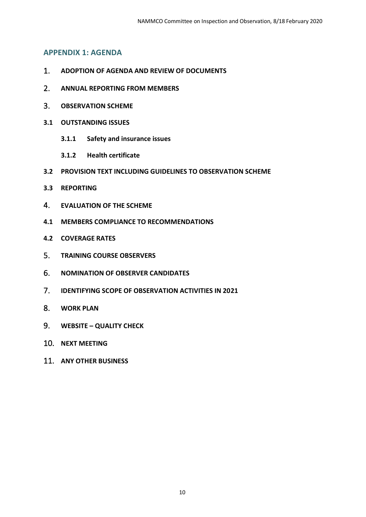## <span id="page-9-0"></span>**APPENDIX 1: AGENDA**

- 1. **ADOPTION OF AGENDA AND REVIEW OF DOCUMENTS**
- 2. **ANNUAL REPORTING FROM MEMBERS**
- 3. **OBSERVATION SCHEME**
- **3.1 OUTSTANDING ISSUES** 
	- **3.1.1 Safety and insurance issues**
	- **3.1.2 Health certificate**
- **3.2 PROVISION TEXT INCLUDING GUIDELINES TO OBSERVATION SCHEME**
- **3.3 REPORTING**
- 4. **EVALUATION OF THE SCHEME**
- **4.1 MEMBERS COMPLIANCE TO RECOMMENDATIONS**
- **4.2 COVERAGE RATES**
- 5. **TRAINING COURSE OBSERVERS**
- 6. **NOMINATION OF OBSERVER CANDIDATES**
- 7. **IDENTIFYING SCOPE OF OBSERVATION ACTIVITIES IN 2021**
- 8. **WORK PLAN**
- 9. **WEBSITE – QUALITY CHECK**
- 10. **NEXT MEETING**
- 11. **ANY OTHER BUSINESS**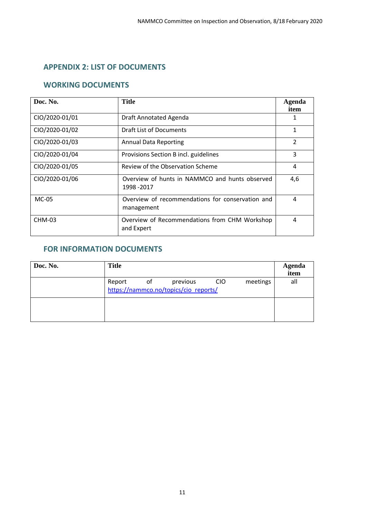## <span id="page-10-0"></span>**APPENDIX 2: LIST OF DOCUMENTS**

## **WORKING DOCUMENTS**

| Doc. No.       | Title                                                          | Agenda<br>item |  |  |  |
|----------------|----------------------------------------------------------------|----------------|--|--|--|
| CIO/2020-01/01 | Draft Annotated Agenda                                         |                |  |  |  |
| CIO/2020-01/02 | Draft List of Documents                                        |                |  |  |  |
| CIO/2020-01/03 | <b>Annual Data Reporting</b>                                   | $\overline{2}$ |  |  |  |
| CIO/2020-01/04 | Provisions Section B incl. guidelines                          | 3              |  |  |  |
| CIO/2020-01/05 | 4                                                              |                |  |  |  |
| CIO/2020-01/06 | Overview of hunts in NAMMCO and hunts observed<br>1998 - 2017  | 4,6            |  |  |  |
| $MC-05$        | Overview of recommendations for conservation and<br>management | 4              |  |  |  |
| CHM-03         | Overview of Recommendations from CHM Workshop<br>and Expert    | 4              |  |  |  |

## **FOR INFORMATION DOCUMENTS**

| Doc. No. | <b>Title</b>                                       | <b>Agenda</b><br>item |  |  |  |  |
|----------|----------------------------------------------------|-----------------------|--|--|--|--|
|          | Report of<br>https://nammco.no/topics/cio reports/ | all                   |  |  |  |  |
|          |                                                    |                       |  |  |  |  |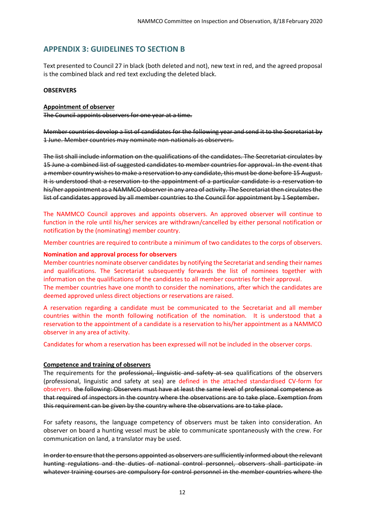## <span id="page-11-0"></span>**APPENDIX 3: GUIDELINES TO SECTION B**

Text presented to Council 27 in black (both deleted and not), new text in red, and the agreed proposal is the combined black and red text excluding the deleted black.

#### **OBSERVERS**

#### **Appointment of observer**

The Council appoints observers for one year at a time.

Member countries develop a list of candidates for the following year and send it to the Secretariat by 1 June. Member countries may nominate non-nationals as observers.

The list shall include information on the qualifications of the candidates. The Secretariat circulates by 15 June a combined list of suggested candidates to member countries for approval. In the event that a member country wishes to make a reservation to any candidate, this must be done before 15 August. It is understood that a reservation to the appointment of a particular candidate is a reservation to his/her appointment as a NAMMCO observer in any area of activity. The Secretariat then circulates the list of candidates approved by all member countries to the Council for appointment by 1 September.

The NAMMCO Council approves and appoints observers. An approved observer will continue to function in the role until his/her services are withdrawn/cancelled by either personal notification or notification by the (nominating) member country.

Member countries are required to contribute a minimum of two candidates to the corps of observers.

#### **Nomination and approval process for observers**

Member countries nominate observer candidates by notifying the Secretariat and sending their names and qualifications. The Secretariat subsequently forwards the list of nominees together with information on the qualifications of the candidates to all member countries for their approval.

The member countries have one month to consider the nominations, after which the candidates are deemed approved unless direct objections or reservations are raised.

A reservation regarding a candidate must be communicated to the Secretariat and all member countries within the month following notification of the nomination. It is understood that a reservation to the appointment of a candidate is a reservation to his/her appointment as a NAMMCO observer in any area of activity.

Candidates for whom a reservation has been expressed will not be included in the observer corps.

#### **Competence and training of observers**

The requirements for the professional, linguistic and safety at sea qualifications of the observers (professional, linguistic and safety at sea) are defined in the attached standardised CV-form for observers. the following: Observers must have at least the same level of professional competence as that required of inspectors in the country where the observations are to take place. Exemption from this requirement can be given by the country where the observations are to take place.

For safety reasons, the language competency of observers must be taken into consideration. An observer on board a hunting vessel must be able to communicate spontaneously with the crew. For communication on land, a translator may be used.

In order to ensure that the persons appointed as observers are sufficiently informed about the relevant hunting regulations and the duties of national control personnel, observers shall participate in whatever training courses are compulsory for control personnel in the member countries where the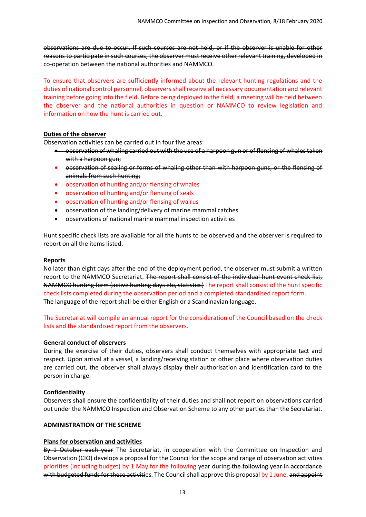observations are due to occur. If such courses are not held, or if the observer is unable for other reasons to participate in such courses, the observer must receive other relevant training, developed in co-operation between the national authorities and NAMMCO.

To ensure that observers are sufficiently informed about the relevant hunting regulations and the duties of national control personnel, observers shall receive all necessary documentation and relevant training before going into the field. Before being deployed in the field, a meeting will be held between the observer and the national authorities in question or NAMMCO to review legislation and information on how the hunt is carried out.

#### **Duties of the observer**

Observation activities can be carried out in four-five areas:

- observation of whaling carried out with the use of a harpoon gun or of flensing of whales taken with a harpoon gun:
- observation of sealing or forms of whaling other than with harpoon guns, or the flensing of animals from such hunting;
- observation of hunting and/or flensing of whales
- observation of hunting and/or flensing of seals
- observation of hunting and/or flensing of walrus
- observation of the landing/delivery of marine mammal catches
- observations of national marine mammal inspection activities

Hunt specific check lists are available for all the hunts to be observed and the observer is required to report on all the items listed.

#### **Reports**

No later than eight days after the end of the deployment period, the observer must submit a written report to the NAMMCO Secretariat. The report shall consist of the individual hunt event check list, NAMMCO hunting form (active hunting days etc, statistics) The report shall consist of the hunt specific check lists completed during the observation period and a completed standardised report form. The language of the report shall be either English or a Scandinavian language.

The Secretariat will compile an annual report for the consideration of the Council based on the check lists and the standardised report from the observers.

#### **General conduct of observers**

During the exercise of their duties, observers shall conduct themselves with appropriate tact and respect. Upon arrival at a vessel, a landing/receiving station or other place where observation duties are carried out, the observer shall always display their authorisation and identification card to the person in charge.

#### **Confidentiality**

Observers shall ensure the confidentiality of their duties and shall not report on observations carried out under the NAMMCO Inspection and Observation Scheme to any other parties than the Secretariat.

#### **ADMINISTRATION OF THE SCHEME**

#### **Plans for observation and activities**

By 1 October each year The Secretariat, in cooperation with the Committee on Inspection and Observation (CIO) develops a proposal for the Council for the scope and range of observation activities priorities (including budget) by 1 May for the following year during the following year in accordance with budgeted funds for these activities. The Council shall approve this proposal by 1 June. and appoint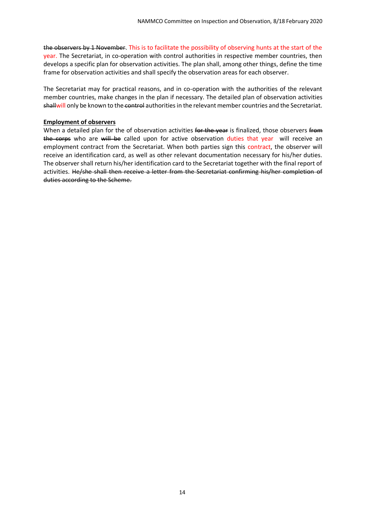the observers by 1 November. This is to facilitate the possibility of observing hunts at the start of the year. The Secretariat, in co-operation with control authorities in respective member countries, then develops a specific plan for observation activities. The plan shall, among other things, define the time frame for observation activities and shall specify the observation areas for each observer.

The Secretariat may for practical reasons, and in co-operation with the authorities of the relevant member countries, make changes in the plan if necessary. The detailed plan of observation activities shallwill only be known to the control authorities in the relevant member countries and the Secretariat.

#### **Employment of observers**

When a detailed plan for the of observation activities for the year is finalized, those observers from the corps who are will be called upon for active observation duties that year will receive an employment contract from the Secretariat. When both parties sign this contract, the observer will receive an identification card, as well as other relevant documentation necessary for his/her duties. The observer shall return his/her identification card to the Secretariat together with the final report of activities. He/she shall then receive a letter from the Secretariat confirming his/her completion of duties according to the Scheme.